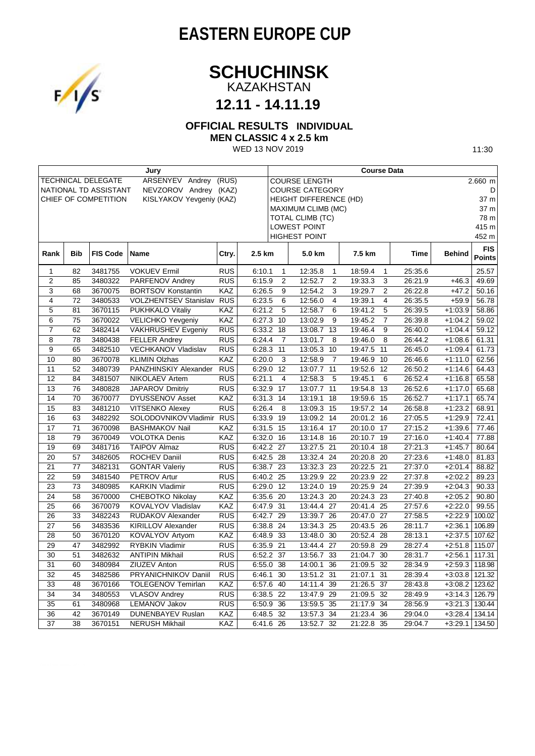## **EASTERN EUROPE CUP**

## **SCHUCHINSK**

KAZAKHSTAN

#### **12.11 - 14.11.19**

#### **OFFICIAL RESULTS INDIVIDUAL**

**MEN CLASSIC 4 x 2.5 km**

WED 13 NOV 2019 11:30

| Jury                                                     |            |                 |                              |            | <b>Course Data</b>              |                                |                           |                |            |                |         |               |               |
|----------------------------------------------------------|------------|-----------------|------------------------------|------------|---------------------------------|--------------------------------|---------------------------|----------------|------------|----------------|---------|---------------|---------------|
| <b>TECHNICAL DELEGATE</b><br>ARSENYEV<br>Andrey<br>(RUS) |            |                 |                              |            | <b>COURSE LENGTH</b><br>2.660 m |                                |                           |                |            |                |         |               |               |
| NEVZOROV Andrey (KAZ)<br>NATIONAL TD ASSISTANT           |            |                 |                              |            | <b>COURSE CATEGORY</b><br>D     |                                |                           |                |            |                |         |               |               |
| CHIEF OF COMPETITION<br>KISLYAKOV Yevgeniy (KAZ)         |            |                 |                              |            |                                 | HEIGHT DIFFERENCE (HD)<br>37 m |                           |                |            |                |         |               |               |
|                                                          |            |                 |                              |            |                                 |                                | <b>MAXIMUM CLIMB (MC)</b> |                |            |                |         |               | 37 m          |
|                                                          |            |                 |                              |            |                                 |                                | <b>TOTAL CLIMB (TC)</b>   |                |            |                |         |               | 78 m          |
|                                                          |            |                 |                              |            |                                 |                                | LOWEST POINT              |                |            |                |         |               | 415 m         |
|                                                          |            |                 |                              |            |                                 |                                | <b>HIGHEST POINT</b>      |                |            |                |         |               | 452 m         |
| Rank                                                     | <b>Bib</b> | <b>FIS Code</b> | Name                         | Ctry.      | 2.5 km                          |                                | 5.0 km                    |                | 7.5 km     |                | Time    | <b>Behind</b> | <b>FIS</b>    |
|                                                          |            |                 |                              |            |                                 |                                |                           |                |            |                |         |               | <b>Points</b> |
| $\mathbf{1}$                                             | 82         | 3481755         | <b>VOKUEV Ermil</b>          | <b>RUS</b> | 6:10.1                          | $\mathbf{1}$                   | 12:35.8                   | $\mathbf{1}$   | 18:59.4    | $\mathbf{1}$   | 25:35.6 |               | 25.57         |
| $\overline{2}$                                           | 85         | 3480322         | PARFENOV Andrey              | <b>RUS</b> | 6.15.9                          | $\overline{2}$                 | 12:52.7                   | $\overline{2}$ | 19:33.3    | 3              | 26:21.9 | $+46.3$       | 49.69         |
| 3                                                        | 68         | 3670075         | <b>BORTSOV Konstantin</b>    | <b>KAZ</b> | 6.26.5                          | 9                              | 12:54.2                   | 3              | 19:29.7    | 2              | 26:22.8 | $+47.2$       | 50.16         |
| $\overline{4}$                                           | 72         | 3480533         | <b>VOLZHENTSEV Stanislav</b> | <b>RUS</b> | 6:23.5                          | 6                              | 12:56.0                   | 4              | 19:39.1    | 4              | 26:35.5 | $+59.9$       | 56.78         |
| 5                                                        | 81         | 3670115         | PUKHKALO Vitaliy             | KAZ        | 6:21.2                          | 5                              | 12:58.7                   | 6              | 19:41.2    | 5              | 26:39.5 | $+1:03.9$     | 58.86         |
| 6                                                        | 75         | 3670022         | <b>VELICHKO Yevgeniy</b>     | KAZ        |                                 | 6:27.3 10                      | 13:02.9                   | 9              | 19:45.2    | $\overline{7}$ | 26:39.8 | $+1:04.2$     | 59.02         |
| $\overline{7}$                                           | 62         | 3482414         | <b>VAKHRUSHEV Evgeniv</b>    | <b>RUS</b> |                                 | 6:33.2 18                      | 13:08.7 13                |                | 19:46.4    | 9              | 26:40.0 | $+1:04.4$     | 59.12         |
| 8                                                        | 78         | 3480438         | <b>FELLER Andrey</b>         | <b>RUS</b> | 6.24.4                          | $\overline{7}$                 | 13:01.7                   | 8              | 19:46.0    | 8              | 26:44.2 | $+1:08.6$     | 61.31         |
| 9                                                        | 65         | 3482510         | VECHKANOV Vladislav          | <b>RUS</b> |                                 | $6:28.3$ 11                    | 13:05.3 10                |                | 19:47.5    | 11             | 26:45.0 | $+1.09.4$     | 61.73         |
| 10                                                       | 80         | 3670078         | <b>KLIMIN Olzhas</b>         | <b>KAZ</b> | 6:20.0                          | 3                              | 12:58.9                   | $\overline{7}$ | 19:46.9    | 10             | 26:46.6 | $+1:11.0$     | 62.56         |
| 11                                                       | 52         | 3480739         | PANZHINSKIY Alexander        | <b>RUS</b> | 6:29.0                          | 12                             | 13:07.7 11                |                | 19:52.6    | 12             | 26:50.2 | $+1:14.6$     | 64.43         |
| 12                                                       | 84         | 3481507         | <b>NIKOLAEV Artem</b>        | <b>RUS</b> | 6:21.1                          | $\overline{4}$                 | 12:58.3                   | 5              | 19:45.1    | 6              | 26:52.4 | $+1:16.8$     | 65.58         |
| 13                                                       | 76         | 3480828         | <b>JAPAROV Dmitriy</b>       | <b>RUS</b> |                                 | 6:32.9 17                      | 13:07.7 11                |                | 19:54.8    | 13             | 26:52.6 | $+1:17.0$     | 65.68         |
| 14                                                       | 70         | 3670077         | <b>DYUSSENOV Asset</b>       | KAZ        |                                 | 6:31.3 14                      | 13:19.1 18                |                | 19:59.6    | 15             | 26:52.7 | $+1:17.1$     | 65.74         |
| 15                                                       | 83         | 3481210         | <b>VITSENKO Alexey</b>       | <b>RUS</b> | 6:26.4                          | 8                              | 13:09.3 15                |                | 19:57.2    | 14             | 26:58.8 | $+1:23.2$     | 68.91         |
| 16                                                       | 63         | 3482292         | SOLODOVNIKOV Vladimir        | <b>RUS</b> | 6:33.9                          | 19                             | 13:09.2 14                |                | 20:01.2    | 16             | 27:05.5 | $+1:29.9$     | 72.41         |
| 17                                                       | 71         | 3670098         | <b>BASHMAKOV Nail</b>        | KAZ        |                                 | 6:31.5 15                      | 13:16.4 17                |                | 20:10.0 17 |                | 27:15.2 | $+1:39.6$     | 77.46         |
| 18                                                       | 79         | 3670049         | <b>VOLOTKA Denis</b>         | KAZ        |                                 | $6:32.0$ 16                    | 13:14.8 16                |                | 20:10.7    | 19             | 27:16.0 | $+1.40.4$     | 77.88         |
| 19                                                       | 69         | 3481716         | <b>TAIPOV Almaz</b>          | <b>RUS</b> |                                 | 6:42.2 27                      | 13:27.5 21                |                | 20:10.4    | 18             | 27:21.3 | $+1.45.7$     | 80.64         |
| 20                                                       | 57         | 3482605         | ROCHEV Daniil                | <b>RUS</b> |                                 | 6:42.5 28                      | 13:32.4 24                |                | 20:20.8 20 |                | 27:23.6 | $+1.48.0$     | 81.83         |
| 21                                                       | 77         | 3482131         | <b>GONTAR Valeriy</b>        | <b>RUS</b> | 6:38.7                          | 23                             | 13:32.3 23                |                | 20:22.5 21 |                | 27:37.0 | $+2.01.4$     | 88.82         |
| 22                                                       | 59         | 3481540         | PETROV Artur                 | <b>RUS</b> |                                 | 6:40.2 25                      | 13:29.9 22                |                | 20:23.9 22 |                | 27:37.8 | $+2:02.2$     | 89.23         |
| 23                                                       | 73         | 3480985         | <b>KARKIN Vladimir</b>       | <b>RUS</b> |                                 | $6:29.0$ 12                    | 13:24.0 19                |                | 20:25.9 24 |                | 27:39.9 | $+2:04.3$     | 90.33         |
| 24                                                       | 58         | 3670000         | <b>CHEBOTKO Nikolay</b>      | KAZ        |                                 | 6:35.6 20                      | 13:24.3 20                |                | 20:24.3 23 |                | 27:40.8 | $+2:05.2$     | 90.80         |
| 25                                                       | 66         | 3670079         | KOVALYOV Vladislav           | KAZ        | 6:47.9                          | 31                             | 13:44.4 27                |                | 20:41.4    | 25             | 27:57.6 | $+2.22.0$     | 99.55         |
| 26                                                       | 33         | 3482243         | RUDAKOV Alexander            | <b>RUS</b> | 6:42.7                          | 29                             | 13:39.7 26                |                | 20:47.0 27 |                | 27:58.5 | $+2:22.9$     | 100.02        |
| 27                                                       | 56         | 3483536         | KIRILLOV Alexander           | <b>RUS</b> |                                 | 6:38.8 24                      | 13:34.3 25                |                | 20:43.5 26 |                | 28:11.7 | $+2.36.1$     | 106.89        |
| 28                                                       | 50         | 3670120         | KOVALYOV Artyom              | KAZ        |                                 | 6:48.9 33                      | 13:48.0 30                |                | 20:52.4 28 |                | 28:13.1 | $+2:37.5$     | 107.62        |
| 29                                                       | 47         | 3482992         | <b>RYBKIN Vladimir</b>       | <b>RUS</b> |                                 | 6:35.9 21                      | 13:44.4 27                |                | 20:59.8 29 |                | 28:27.4 | $+2:51.8$     | 115.07        |
| 30                                                       | 51         | 3482632         | <b>ANTIPIN Mikhail</b>       | <b>RUS</b> |                                 | 6:52.2 37                      | 13:56.7 33                |                | 21:04.7    | 30             | 28:31.7 | $+2.56.1$     | 117.31        |
| 31                                                       | 60         | 3480984         | ZIUZEV Anton                 | <b>RUS</b> | 6:55.0                          | 38                             | 14:00.1                   | 36             | 21:09.5    | 32             | 28:34.9 | $+2:59.3$     | 118.98        |
| 32                                                       | 45         | 3482586         | PRYANICHNIKOV Daniil         | <b>RUS</b> | 6:46.1                          | 30                             | 13:51.2 31                |                | 21:07.1    | 31             | 28:39.4 | $+3.03.8$     | 121.32        |
| 33                                                       | 48         | 3670166         | <b>TOLEGENOV Temirlan</b>    | KAZ        | 6:57.6                          | 40                             | 14:11.4                   | 39             | 21:26.5    | 37             | 28:43.8 | $+3:08.2$     | 123.62        |
| 34                                                       | 34         | 3480553         | <b>VLASOV Andrey</b>         | <b>RUS</b> |                                 | 6:38.5 22                      | 13:47.9 29                |                | 21:09.5 32 |                | 28:49.9 | $+3:14.3$     | 126.79        |
| 35                                                       | 61         | 3480968         | LEMANOV Jakov                | <b>RUS</b> | 6:50.9                          | 36                             | 13:59.5 35                |                | 21:17.9    | 34             | 28:56.9 | $+3:21.3$     | 130.44        |
| 36                                                       | 42         | 3670149         | DUNENBAYEV Ruslan            | <b>KAZ</b> |                                 | 6:48.5 32                      | 13:57.3 34                |                | 21:23.4    | 36             | 29:04.0 | $+3:28.4$     | 134.14        |
| 37                                                       | 38         | 3670151         | <b>NERUSH Mikhail</b>        | <b>KAZ</b> |                                 | 6:41.6 26                      | 13:52.7 32                |                | 21:22.8    | 35             | 29:04.7 | $+3:29.1$     | 134.50        |

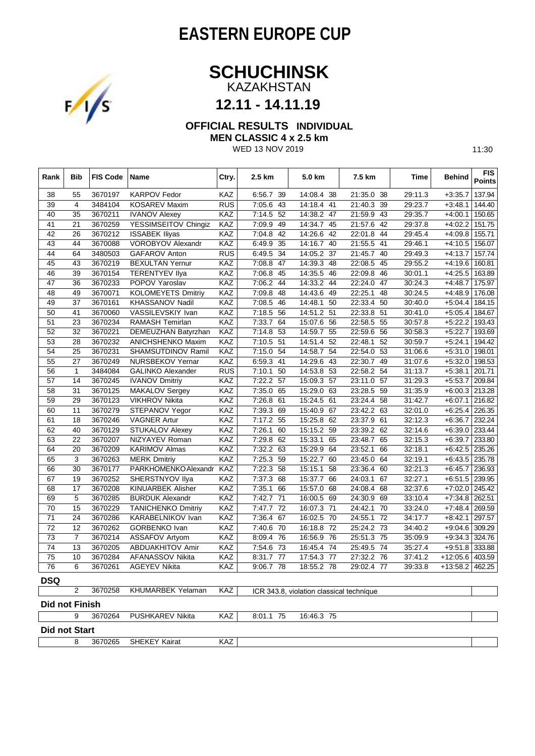## **EASTERN EUROPE CUP**

## **SCHUCHINSK**

KAZAKHSTAN

# $\frac{1}{s}$

**12.11 - 14.11.19** 

**OFFICIAL RESULTS INDIVIDUAL**

**MEN CLASSIC 4 x 2.5 km**

WED 13 NOV 2019 11:30

| Rank                  | Bib            | <b>FIS Code</b>    | Name                            | Ctry.      | 2.5 km                     | 5.0 km                                   | 7.5 km                         | Time               | Behind                 | <b>FIS</b><br><b>Points</b> |
|-----------------------|----------------|--------------------|---------------------------------|------------|----------------------------|------------------------------------------|--------------------------------|--------------------|------------------------|-----------------------------|
| 38                    | 55             | 3670197            | <b>KARPOV Fedor</b>             | KAZ        | 6:56.7 39                  | 14:08.4 38                               | 21:35.0 38                     | 29:11.3            | $+3:35.7$              | 137.94                      |
| 39                    | $\overline{4}$ | 3484104            | <b>KOSAREV Maxim</b>            | <b>RUS</b> | 7:05.6 43                  | 14:18.4 41                               | 21:40.3<br>39                  | 29:23.7            | $+3:48.1$              | 144.40                      |
| 40                    | 35             | 3670211            | <b>IVANOV Alexey</b>            | KAZ        | 7:14.5 52                  | 14:38.2 47                               | 21:59.9<br>43                  | 29:35.7            | $+4:00.1$              | 150.65                      |
| 41                    | 21             | 3670259            | YESSIMSEITOV Chingiz            | KAZ        | $7:09.9$ 49                | 14:34.7<br>45                            | 21:57.6 42                     | 29:37.8            | $+4:02.2$              | 151.75                      |
| 42                    | 26             | 3670212            | <b>ISSABEK Iliyas</b>           | KAZ        | 42<br>7:04.8               | 14:26.6<br>42                            | 22:01.8<br>44                  | 29:45.4            | $+4.09.8$              | 155.71                      |
| 43                    | 44             | 3670088            | <b>VOROBYOV Alexandr</b>        | KAZ        | 6:49.9 35                  | 14:16.7 40                               | 21:55.5 41                     | 29:46.1            | $+4:10.5$              | 156.07                      |
| 44                    | 64             | 3480503            | GAFAROV Anton                   | RUS        | 6:49.5 34                  | 14:05.2 37                               | 21:45.7<br>40                  | 29:49.3            | $+4.13.7$              | 157.74                      |
| 45                    | 43             | 3670219            | <b>BEXULTAN Yernur</b>          | KAZ        | 7:08.8 47                  | 14:39.3 48                               | 22:08.5<br>45                  | 29:55.2            | $+4:19.6$              | 160.81                      |
| 46                    | 39             | 3670154            | <b>TERENTYEV IIya</b>           | KAZ        | 7:06.8 45                  | 14:35.5 46                               | 22:09.8<br>46                  | 30:01.1            | $+4.25.5$              | 163.89                      |
| 47                    | 36             | 3670233            | POPOV Yaroslav                  | KAZ        | 7:06.2 44                  | 14:33.2 44                               | 22:24.0<br>47                  | 30:24.3            | $+4.48.7$              | 175.97                      |
| 48                    | 49             | 3670071            | <b>KOLOMEYETS Dmitriv</b>       | KAZ        | 48<br>7:09.8               | 14:43.6 49                               | 22:25.1<br>48                  | 30:24.5            | $+4.48.9$              | 176.08                      |
| 49                    | 37             | 3670161            | KHASSANOV Nadil                 | KAZ        | 7:08.5 46                  | 14:48.1<br>50                            | 22:33.4<br>50                  | 30:40.0            | $+5:04.4$              | 184.15                      |
| 50                    | 41             | 3670060            | VASSILEVSKIY Ivan               | KAZ        | 7:18.5 56                  | 14:51.2 51                               | 22:33.8<br>51                  | 30:41.0            | $+5:05.4$              | 184.67                      |
| 51                    | 23             | 3670234            | <b>RAMASH Temirlan</b>          | KAZ        | 7:33.7 64                  | 15:07.6 56                               | 22:58.5<br>55                  | 30:57.8            | $+5:22.2$              | 193.43                      |
| 52                    | 32             | 3670221            | DEMEUZHAN Batyrzhan             | KAZ        | $7:14.8$ 53                | 14:59.7 55                               | 22:59.6 56                     | 30:58.3            | $+5:22.7$              | 193.69                      |
| 53                    | 28             | 3670232            | <b>ANICHSHENKO Maxim</b>        | KAZ        | $7:10.5$ 51                | 14:51.4<br>52                            | 22:48.1<br>52                  | 30:59.7            | $+5:24.1$              | 194.42                      |
| 54                    | 25             | 3670231            | SHAMSUTDINOV Ramil              | KAZ        | $7:15.0$ 54                | 14:58.7 54                               | 22:54.0<br>53                  | 31:06.6            | $+5:31.0$              | 198.01                      |
| 55                    | 27             | 3670249            | NURSBEKOV Yernar                | KAZ        | 6:59.3 41                  | 14:29.6 43                               | 22:30.7<br>49                  | 31:07.6            | $+5.32.0$              | 198.53                      |
| 56                    | $\mathbf{1}$   | 3484084            | <b>GALINKO Alexander</b>        | <b>RUS</b> | 50<br>7:10.1               | $14:53.8$ 53                             | 22:58.2<br>54                  | 31:13.7            | $+5:38.1$              | 201.71                      |
| 57                    | 14             | 3670245            | <b>IVANOV Dmitriy</b>           | KAZ        | 7:22.2 57                  | 15:09.3 57                               | 23:11.0 57                     | 31:29.3            | $+5.53.7$              | 209.84                      |
| 58                    | 31             | 3670125            | <b>MAKALOV Sergey</b>           | KAZ        | $7:35.0$ 65                | 15:29.0 63                               | 23:28.5 59                     | 31:35.9            | $+6:00.3$              | 213.28                      |
| 59                    | 29             | 3670123            | <b>VIKHROV Nikita</b>           | KAZ        | 61<br>7:26.8               | 15:24.5 61                               | 23:24.4<br>58                  | 31:42.7            | $+6:07.1$              | 216.82                      |
| 60                    | 11             | 3670279            | STEPANOV Yegor                  | KAZ        | 7:39.3 69                  | 15:40.9<br>67                            | 23:42.2<br>63                  | 32:01.0            | $+6.25.4$              | 226.35                      |
| 61                    | 18             | 3670246            | <b>VAGNER Artur</b>             | KAZ        | 7:17.2 55                  | 15:25.8 62                               | $23:37.9$ 61                   | 32:12.3            | $+6:36.7$              | 232.24                      |
| 62                    | 40             | 3670129            | <b>STUKALOV Alexey</b>          | KAZ        | 7:26.1<br>60               | 15:15.2 59                               | 23:39.2 62                     | 32:14.6            | $+6.39.0$              | 233.44                      |
| 63<br>64              | 22<br>20       | 3670207<br>3670209 | NIZYAYEV Roman<br>KARIMOV Almas | KAZ<br>KAZ | $7:29.8$ 62<br>$7:32.2$ 63 | 15:33.1<br>65                            | 23:48.7<br>65<br>23:52.1<br>66 | 32:15.3            | $+6.39.7$              | 233.80<br>235.26            |
| 65                    | 3              | 3670263            | <b>MERK Dmitriy</b>             | KAZ        | 7:25.3 59                  | 15:29.9 64<br>15:22.7 60                 | 23:45.0<br>64                  | 32:18.1<br>32:19.1 | $+6.42.5$<br>$+6:43.5$ | 235.78                      |
| 66                    | 30             | 3670177            | PARKHOMENKO Alexandr            | KAZ        | 7:22.3<br>58               | 15:15.1<br>58                            | 23:36.4<br>60                  | 32:21.3            | $+6.45.7$              | 236.93                      |
| 67                    | 19             | 3670252            | SHERSTNYOV Ilya                 | KAZ        | 7:37.3<br>68               | 15:37.7 66                               | 24:03.1<br>67                  | 32:27.1            | $+6.51.5$              | 239.95                      |
| 68                    | 17             | 3670208            | KINUARBEK Alisher               | KAZ        | 7:35.1<br>66               | 15:57.0 68                               | 24:08.4 68                     | 32:37.6            | $+7:02.0$              | 245.42                      |
| 69                    | 5              | 3670285            | <b>BURDUK Alexandr</b>          | KAZ        | 7:42.7 71                  | 16:00.5 69                               | 24:30.9 69                     | 33:10.4            | $+7.34.8$              | 262.51                      |
| 70                    | 15             | 3670229            | <b>TANICHENKO Dmitriy</b>       | KAZ        | 72<br>7:47.7               | 16:07.3 71                               | 24:42.1<br>70                  | 33:24.0            | $+7.48.4$              | 269.59                      |
| 71                    | 24             | 3670286            | KARABELNIKOV Ivan               | KAZ        | 7:36.4 67                  | 16:02.5 70                               | 24:55.1<br>72                  | 34:17.7            | $+8.42.1$              | 297.57                      |
| 72                    | 12             | 3670262            | <b>GORBENKO Ivan</b>            | KAZ        | $7:40.6$ 70                | 16:18.8 72                               | 25:24.2<br>73                  | 34:40.2            | $+9.04.6$              | 309.29                      |
| 73                    | $\overline{7}$ | 3670214            | ASSAFOV Artyom                  | KAZ        | $8:09.4$ 76                | 16:56.9 76                               | 25:51.3 75                     | 35:09.9            | $+9.34.3$              | 324.76                      |
| 74                    | 13             | 3670205            | ABDUAKHITOV Amir                | KAZ        | 7:54.6 73                  | 16:45.4 74                               | 25:49.5 74                     | 35:27.4            | $+9.51.8$              | 333.88                      |
| 75                    | 10             | 3670284            | AFANASSOV Nikita                | KAZ        | 77<br>8:31.7               | 17:54.3<br>77                            | 27:32.2<br>76                  | 37:41.2            | $+12:05.6$             | 403.59                      |
| 76                    | 6              | 3670261            | <b>AGEYEV Nikita</b>            | KAZ        | $9:06.7$ 78                | 18:55.2 78                               | 29:02.4 77                     | 39:33.8            | $+13:58.2$             | 462.25                      |
|                       |                |                    |                                 |            |                            |                                          |                                |                    |                        |                             |
| <b>DSQ</b>            | 2              | 3670258            | KHUMARBEK Yelaman               | KAZ        |                            | ICR 343.8, violation classical technique |                                |                    |                        |                             |
| <b>Did not Finish</b> |                |                    |                                 |            |                            |                                          |                                |                    |                        |                             |
|                       | 9              | 3670264            | PUSHKAREV Nikita                | KAZ        | 8:01.1 75                  | 16:46.3 75                               |                                |                    |                        |                             |
| <b>Did not Start</b>  |                |                    |                                 |            |                            |                                          |                                |                    |                        |                             |
|                       |                |                    |                                 |            |                            |                                          |                                |                    |                        |                             |
|                       | 8              | 3670265            | SHEKEY Kairat                   | KAZ        |                            |                                          |                                |                    |                        |                             |